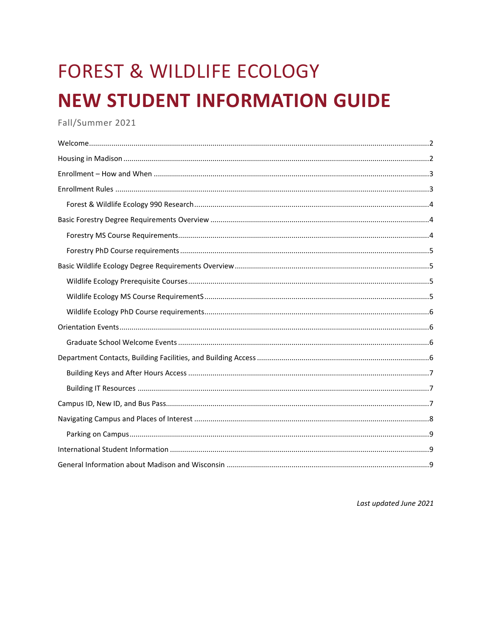# **FOREST & WILDLIFE ECOLOGY NEW STUDENT INFORMATION GUIDE**

Fall/Summer 2021

Last updated June 2021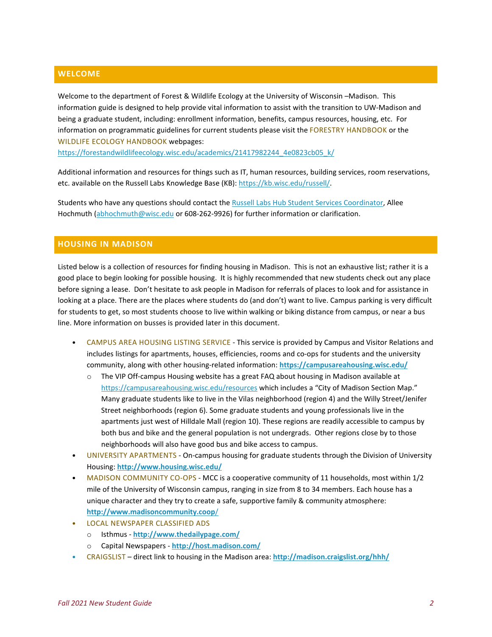# <span id="page-1-0"></span>**WELCOME**

Welcome to the department of Forest & Wildlife Ecology at the University of Wisconsin –Madison. This information guide is designed to help provide vital information to assist with the transition to UW-Madison and being a graduate student, including: enrollment information, benefits, campus resources, housing, etc. For information on programmatic guidelines for current students please visit the FORESTRY HANDBOOK or the WILDLIFE ECOLOGY HANDBOOK webpages:

[https://forestandwildlifeecology.wisc.edu/academics/21417982244\\_4e0823cb05\\_k/](https://forestandwildlifeecology.wisc.edu/academics/21417982244_4e0823cb05_k/)

Additional information and resources for things such as IT, human resources, building services, room reservations, etc. available on the Russell Labs Knowledge Base (KB)[: https://kb.wisc.edu/russell/.](https://kb.wisc.edu/russell/)

<span id="page-1-1"></span>Students who have any questions should contact th[e Russell Labs Hub Student Services Coordinator,](https://hub.russell.wisc.edu/student-services/) Allee Hochmuth [\(abhochmuth@wisc.edu](mailto:abhochmuth@wisc.edu) or 608-262-9926) for further information or clarification.

### **HOUSING IN MADISON**

Listed below is a collection of resources for finding housing in Madison. This is not an exhaustive list; rather it is a good place to begin looking for possible housing. It is highly recommended that new students check out any place before signing a lease. Don't hesitate to ask people in Madison for referrals of places to look and for assistance in looking at a place. There are the places where students do (and don't) want to live. Campus parking is very difficult for students to get, so most students choose to live within walking or biking distance from campus, or near a bus line. More information on busses is provided later in this document.

- CAMPUS AREA HOUSING LISTING SERVICE This service is provided by Campus and Visitor Relations and includes listings for apartments, houses, efficiencies, rooms and co-ops for students and the university community, along with other housing-related information: **<https://campusareahousing.wisc.edu/>**
	- o The VIP Off-campus Housing website has a great FAQ about housing in Madison available at <https://campusareahousing.wisc.edu/resources> which includes a "City of Madison Section Map." Many graduate students like to live in the Vilas neighborhood (region 4) and the Willy Street/Jenifer Street neighborhoods (region 6). Some graduate students and young professionals live in the apartments just west of Hilldale Mall (region 10). These regions are readily accessible to campus by both bus and bike and the general population is not undergrads. Other regions close by to those neighborhoods will also have good bus and bike access to campus.
- UNIVERSITY APARTMENTS On-campus housing for graduate students through the Division of University Housing: **<http://www.housing.wisc.edu/>**
- MADISON COMMUNITY CO-OPS MCC is a cooperative community of 11 households, most within 1/2 mile of the University of Wisconsin campus, ranging in size from 8 to 34 members. Each house has a unique character and they try to create a safe, supportive family & community atmosphere: **[http://www.madisoncommunity.coop](http://www.madisoncommunity.coop/)**/
- LOCAL NEWSPAPER CLASSIFIED ADS
	- o Isthmus **<http://www.thedailypage.com/>**
	- o Capital Newspapers **<http://host.madison.com/>**
- CRAIGSLIST direct link to housing in the Madison area: **<http://madison.craigslist.org/hhh/>**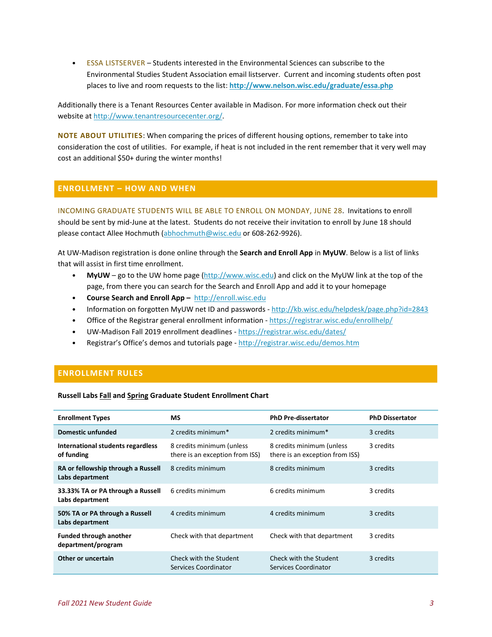• ESSA LISTSERVER – Students interested in the Environmental Sciences can subscribe to the Environmental Studies Student Association email listserver. Current and incoming students often post places to live and room requests to the list: **<http://www.nelson.wisc.edu/graduate/essa.php>**

Additionally there is a Tenant Resources Center available in Madison. For more information check out their website a[t http://www.tenantresourcecenter.org/.](http://www.tenantresourcecenter.org/)

**NOTE ABOUT UTILITIES**: When comparing the prices of different housing options, remember to take into consideration the cost of utilities. For example, if heat is not included in the rent remember that it very well may cost an additional \$50+ during the winter months!

#### <span id="page-2-0"></span>**ENROLLMENT – HOW AND WHEN**

<span id="page-2-1"></span>INCOMING GRADUATE STUDENTS WILL BE ABLE TO ENROLL ON MONDAY, JUNE 28. Invitations to enroll should be sent by mid-June at the latest. Students do not receive their invitation to enroll by June 18 should please contact Allee Hochmuth [\(abhochmuth@wisc.edu](mailto:abhochmuth@wisc.edu) or 608-262-9926).

At UW-Madison registration is done online through the **Search and Enroll App** in **MyUW**. Below is a list of links that will assist in first time enrollment.

- **MyUW** go to the UW home page [\(http://www.wisc.edu\)](http://www.wisc.edu/) and click on the MyUW link at the top of the page, from there you can search for the Search and Enroll App and add it to your homepage
- **Course Search and Enroll App –** [http://enroll.wisc.edu](http://enroll.wisc.edu/)
- Information on forgotten MyUW net ID and passwords <http://kb.wisc.edu/helpdesk/page.php?id=2843>
- Office of the Registrar general enrollment information <https://registrar.wisc.edu/enrollhelp/>
- UW-Madison Fall 2019 enrollment deadlines <https://registrar.wisc.edu/dates/>
- Registrar's Office's demos and tutorials page <http://registrar.wisc.edu/demos.htm>

# **ENROLLMENT RULES**

#### **Russell Labs Fall and Spring Graduate Student Enrollment Chart**

| <b>Enrollment Types</b>                               | <b>MS</b>                                                    | <b>PhD Pre-dissertator</b>                                   | <b>PhD Dissertator</b> |
|-------------------------------------------------------|--------------------------------------------------------------|--------------------------------------------------------------|------------------------|
| Domestic unfunded                                     | 2 credits minimum*                                           | 2 credits minimum*                                           | 3 credits              |
| International students regardless<br>of funding       | 8 credits minimum (unless<br>there is an exception from ISS) | 8 credits minimum (unless<br>there is an exception from ISS) | 3 credits              |
| RA or fellowship through a Russell<br>Labs department | 8 credits minimum                                            | 8 credits minimum                                            | 3 credits              |
| 33.33% TA or PA through a Russell<br>Labs department  | 6 credits minimum                                            | 6 credits minimum                                            | 3 credits              |
| 50% TA or PA through a Russell<br>Labs department     | 4 credits minimum                                            | 4 credits minimum                                            | 3 credits              |
| <b>Funded through another</b><br>department/program   | Check with that department                                   | Check with that department                                   | 3 credits              |
| Other or uncertain                                    | Check with the Student<br>Services Coordinator               | Check with the Student<br>Services Coordinator               | 3 credits              |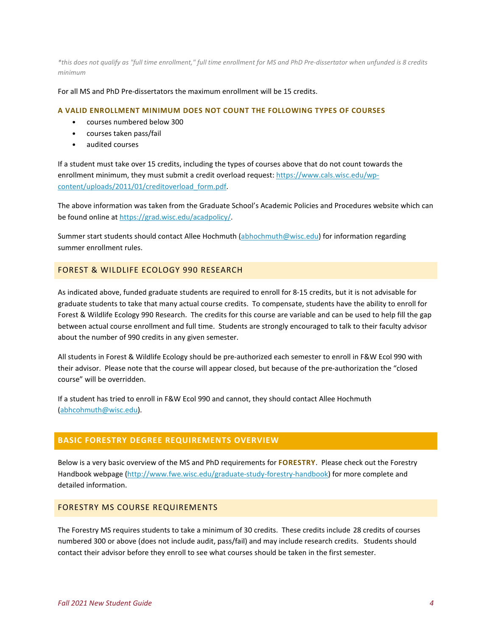*\*this does not qualify as "full time enrollment," full time enrollment for MS and PhD Pre-dissertator when unfunded is 8 credits minimum*

For all MS and PhD Pre-dissertators the maximum enrollment will be 15 credits.

#### **A VALID ENROLLMENT MINIMUM DOES NOT COUNT THE FOLLOWING TYPES OF COURSES**

- courses numbered below 300
- courses taken pass/fail
- audited courses

If a student must take over 15 credits, including the types of courses above that do not count towards the enrollment minimum, they must submit a credit overload request: [https://www.cals.wisc.edu/wp](https://www.cals.wisc.edu/wp-content/uploads/2011/01/creditoverload_form.pdf)[content/uploads/2011/01/creditoverload\\_form.pdf.](https://www.cals.wisc.edu/wp-content/uploads/2011/01/creditoverload_form.pdf)

The above information was taken from the Graduate School's Academic Policies and Procedures website which can be found online at [https://grad.wisc.edu/acadpolicy/.](https://grad.wisc.edu/acadpolicy/)

<span id="page-3-0"></span>Summer start students should contact Allee Hochmuth [\(abhochmuth@wisc.edu\)](mailto:abhochmuth@wisc.edu) for information regarding summer enrollment rules.

# FOREST & WILDLIFE ECOLOGY 990 RESEARCH

As indicated above, funded graduate students are required to enroll for 8-15 credits, but it is not advisable for graduate students to take that many actual course credits. To compensate, students have the ability to enroll for Forest & Wildlife Ecology 990 Research. The credits for this course are variable and can be used to help fill the gap between actual course enrollment and full time. Students are strongly encouraged to talk to their faculty advisor about the number of 990 credits in any given semester.

All students in Forest & Wildlife Ecology should be pre-authorized each semester to enroll in F&W Ecol 990 with their advisor. Please note that the course will appear closed, but because of the pre-authorization the "closed course" will be overridden.

If a student has tried to enroll in F&W Ecol 990 and cannot, they should contact Allee Hochmuth [\(abhcohmuth@wisc.edu\)](mailto:abhcohmuth@wisc.edu).

# <span id="page-3-1"></span>**BASIC FORESTRY DEGREE REQUIREMENTS OVERVIEW**

Below is a very basic overview of the MS and PhD requirements for **FORESTRY**. Please check out the Forestry Handbook webpage [\(http://www.fwe.wisc.edu/graduate-study-forestry-handbook\)](http://www.fwe.wisc.edu/graduate-study-forestry-handbook) for more complete and detailed information.

#### <span id="page-3-2"></span>FORESTRY MS COURSE REQUIREMENTS

The Forestry MS requires students to take a minimum of 30 credits. These credits include 28 credits of courses numbered 300 or above (does not include audit, pass/fail) and may include research credits. Students should contact their advisor before they enroll to see what courses should be taken in the first semester.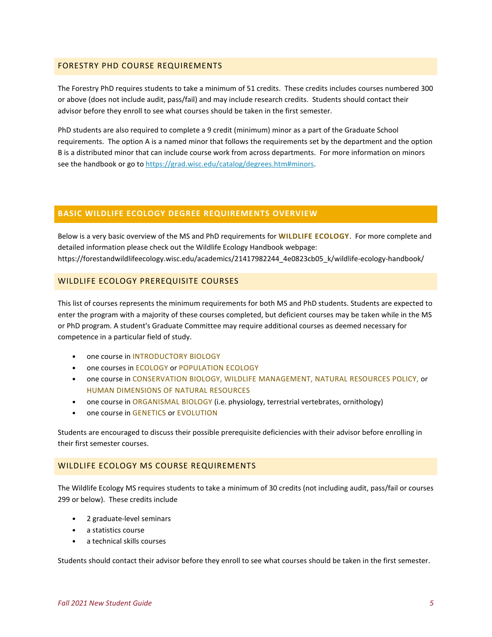#### <span id="page-4-0"></span>FORESTRY PHD COURSE REQUIREMENTS

The Forestry PhD requires students to take a minimum of 51 credits. These credits includes courses numbered 300 or above (does not include audit, pass/fail) and may include research credits. Students should contact their advisor before they enroll to see what courses should be taken in the first semester.

PhD students are also required to complete a 9 credit (minimum) minor as a part of the Graduate School requirements. The option A is a named minor that follows the requirements set by the department and the option B is a distributed minor that can include course work from across departments. For more information on minors see the handbook or go t[o https://grad.wisc.edu/catalog/degrees.htm#minors.](https://grad.wisc.edu/catalog/degrees.htm#minors)

# <span id="page-4-1"></span>**BASIC WILDLIFE ECOLOGY DEGREE REQUIREMENTS OVERVIEW**

Below is a very basic overview of the MS and PhD requirements for **WILDLIFE ECOLOGY**. For more complete and detailed information please check out the Wildlife Ecology Handbook webpage: https://forestandwildlifeecology.wisc.edu/academics/21417982244\_4e0823cb05\_k/wildlife-ecology-handbook/

# <span id="page-4-2"></span>WILDLIFE ECOLOGY PREREQUISITE COURSES

This list of courses represents the minimum requirements for both MS and PhD students. Students are expected to enter the program with a majority of these courses completed, but deficient courses may be taken while in the MS or PhD program. A student's Graduate Committee may require additional courses as deemed necessary for competence in a particular field of study.

- one course in INTRODUCTORY BIOLOGY
- one courses in ECOLOGY or POPULATION ECOLOGY
- one course in CONSERVATION BIOLOGY, WILDLIFE MANAGEMENT, NATURAL RESOURCES POLICY, or HUMAN DIMENSIONS OF NATURAL RESOURCES
- one course in ORGANISMAL BIOLOGY (i.e. physiology, terrestrial vertebrates, ornithology)
- one course in GENETICS or EVOLUTION

Students are encouraged to discuss their possible prerequisite deficiencies with their advisor before enrolling in their first semester courses.

#### <span id="page-4-3"></span>WILDLIFE ECOLOGY MS COURSE REQUIREMENTS

The Wildlife Ecology MS requires students to take a minimum of 30 credits (not including audit, pass/fail or courses 299 or below). These credits include

- 2 graduate-level seminars
- a statistics course
- a technical skills courses

Students should contact their advisor before they enroll to see what courses should be taken in the first semester.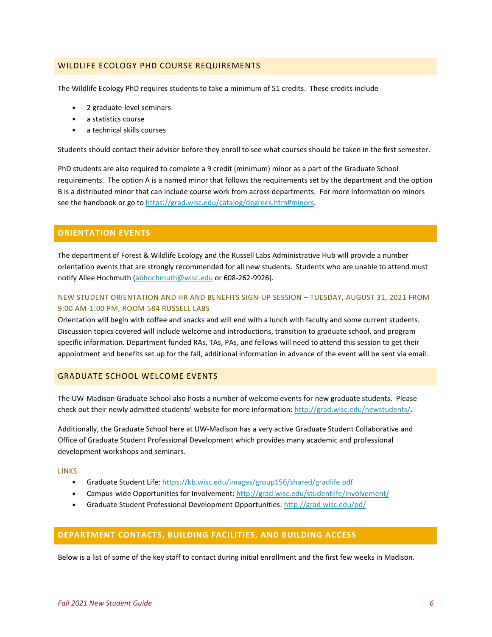#### <span id="page-5-0"></span>WILDLIFE ECOLOGY PHD COURSE REQUIREMENTS

The Wildlife Ecology PhD requires students to take a minimum of 51 credits. These credits include

- 2 graduate-level seminars
- a statistics course
- a technical skills courses

Students should contact their advisor before they enroll to see what courses should be taken in the first semester.

PhD students are also required to complete a 9 credit (minimum) minor as a part of the Graduate School requirements. The option A is a named minor that follows the requirements set by the department and the option B is a distributed minor that can include course work from across departments. For more information on minors see the handbook or go t[o https://grad.wisc.edu/catalog/degrees.htm#minors.](https://grad.wisc.edu/catalog/degrees.htm#minors)

#### <span id="page-5-1"></span>**ORIENTATION EVENTS**

<span id="page-5-2"></span>The department of Forest & Wildlife Ecology and the Russell Labs Administrative Hub will provide a number orientation events that are strongly recommended for all new students. Students who are unable to attend must notify Allee Hochmuth [\(abhochmuth@wisc.edu](mailto:abhochmuth@wisc.edu) or 608-262-9926).

#### NEW STUDENT ORIENTATION AND HR AND BENEFITS SIGN-UP SESSION – TUESDAY, AUGUST 31, 2021 FROM 9:00 AM-1:00 PM, ROOM 584 RUSSELL LABS

Orientation will begin with coffee and snacks and will end with a lunch with faculty and some current students. Discussion topics covered will include welcome and introductions, transition to graduate school, and program specific information. Department funded RAs, TAs, PAs, and fellows will need to attend this session to get their appointment and benefits set up for the fall, additional information in advance of the event will be sent via email.

# GRADUATE SCHOOL WELCOME EVENTS

The UW-Madison Graduate School also hosts a number of welcome events for new graduate students. Please check out their newly admitted students' website for more information: [http://grad.wisc.edu/newstudents/.](http://grad.wisc.edu/newstudents/)

Additionally, the Graduate School here at UW-Madison has a very active Graduate Student Collaborative and Office of Graduate Student Professional Development which provides many academic and professional development workshops and seminars.

#### **LINKS**

- Graduate Student Life:<https://kb.wisc.edu/images/group156/shared/gradlife.pdf>
- Campus-wide Opportunities for Involvement:<http://grad.wisc.edu/studentlife/involvement/>
- Graduate Student Professional Development Opportunities[: http://grad.wisc.edu/pd/](http://grad.wisc.edu/pd/)

#### <span id="page-5-3"></span>**DEPARTMENT CONTACTS, BUILDING FACILITIES, AND BUILDING ACCESS**

Below is a list of some of the key staff to contact during initial enrollment and the first few weeks in Madison.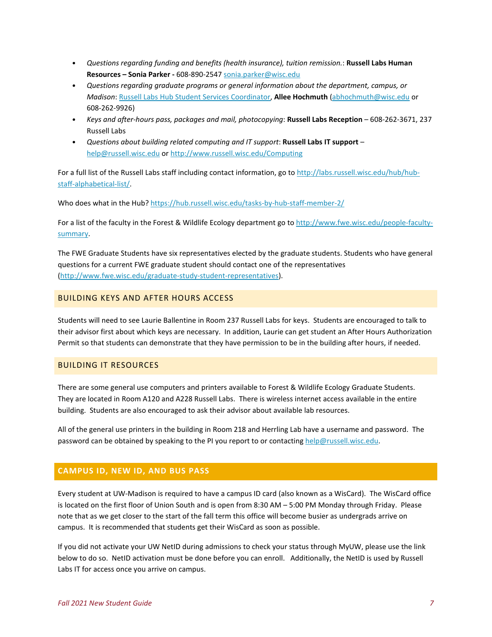- *Questions regarding funding and benefits (health insurance), tuition remission.*: **Russell Labs Human Resources – Sonia Parker -** 608-890-2547 [sonia.parker@wisc.edu](mailto:sonia.parker@wisc.edu)
- *Questions regarding graduate programs or general information about the department, campus, or Madison*: [Russell Labs Hub Student Services Coordinator,](https://hub.russell.wisc.edu/student-services/) **Allee Hochmuth** [\(abhochmuth@wisc.edu](mailto:abhochmuth@wisc.edu) or 608-262-9926)
- *Keys and after-hours pass, packages and mail, photocopying*: **Russell Labs Reception** 608-262-3671, 237 Russell Labs
- *Questions about building related computing and IT support*: **Russell Labs IT support** [help@russell.wisc.edu](mailto:help@russell.wisc.edu) or<http://www.russell.wisc.edu/Computing>

For a full list of the Russell Labs staff including contact information, go t[o http://labs.russell.wisc.edu/hub/hub](http://labs.russell.wisc.edu/hub/hub-staff-alphabetical-list/)[staff-alphabetical-list/.](http://labs.russell.wisc.edu/hub/hub-staff-alphabetical-list/)

Who does what in the Hub[? https://hub.russell.wisc.edu/tasks-by-hub-staff-member-2/](https://hub.russell.wisc.edu/tasks-by-hub-staff-member-2/)

For a list of the faculty in the Forest & Wildlife Ecology department go t[o http://www.fwe.wisc.edu/people-faculty](http://www.fwe.wisc.edu/people-faculty-summary)[summary.](http://www.fwe.wisc.edu/people-faculty-summary)

The FWE Graduate Students have six representatives elected by the graduate students. Students who have general questions for a current FWE graduate student should contact one of the representatives [\(http://www.fwe.wisc.edu/graduate-study-student-representatives\)](http://www.fwe.wisc.edu/graduate-study-student-representatives).

### <span id="page-6-0"></span>BUILDING KEYS AND AFTER HOURS ACCESS

Students will need to see Laurie Ballentine in Room 237 Russell Labs for keys. Students are encouraged to talk to their advisor first about which keys are necessary. In addition, Laurie can get student an After Hours Authorization Permit so that students can demonstrate that they have permission to be in the building after hours, if needed.

#### <span id="page-6-1"></span>BUILDING IT RESOURCES

There are some general use computers and printers available to Forest & Wildlife Ecology Graduate Students. They are located in Room A120 and A228 Russell Labs. There is wireless internet access available in the entire building. Students are also encouraged to ask their advisor about available lab resources.

All of the general use printers in the building in Room 218 and Herrling Lab have a username and password. The password can be obtained by speaking to the PI you report to or contacting [help@russell.wisc.edu.](mailto:help@russell.wisc.edu)

# <span id="page-6-2"></span>**CAMPUS ID, NEW ID, AND BUS PASS**

Every student at UW-Madison is required to have a campus ID card (also known as a WisCard). The WisCard office is located on the first floor of Union South and is open from 8:30 AM – 5:00 PM Monday through Friday. Please note that as we get closer to the start of the fall term this office will become busier as undergrads arrive on campus. It is recommended that students get their WisCard as soon as possible.

If you did not activate your UW NetID during admissions to check your status through MyUW, please use the link below to do so. NetID activation must be done before you can enroll. Additionally, the NetID is used by Russell Labs IT for access once you arrive on campus.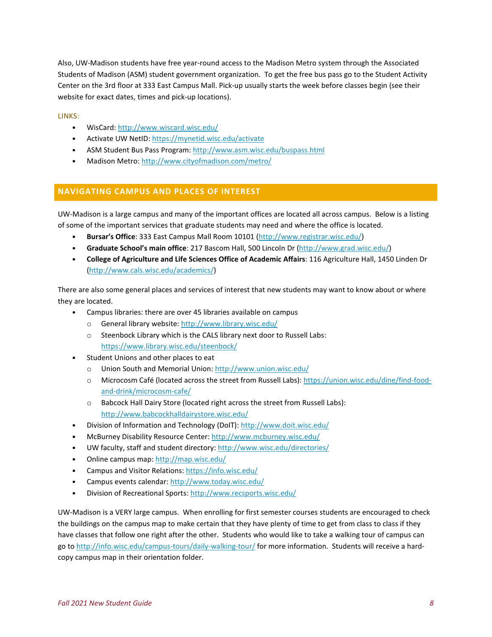Also, UW-Madison students have free year-round access to the Madison Metro system through the Associated Students of Madison (ASM) student government organization. To get the free bus pass go to the Student Activity Center on the 3rd floor at 333 East Campus Mall. Pick-up usually starts the week before classes begin (see their website for exact dates, times and pick-up locations).

LINKS:

- WisCard:<http://www.wiscard.wisc.edu/>
- Activate UW NetID[: https://mynetid.wisc.edu/activate](https://mynetid.wisc.edu/activate)
- ASM Student Bus Pass Program:<http://www.asm.wisc.edu/buspass.html>
- Madison Metro:<http://www.cityofmadison.com/metro/>

#### <span id="page-7-0"></span>**NAVIGATING CAMPUS AND PLACES OF INTEREST**

UW-Madison is a large campus and many of the important offices are located all across campus. Below is a listing of some of the important services that graduate students may need and where the office is located.

- **Bursar's Office**: 333 East Campus Mall Room 10101 [\(http://www.registrar.wisc.edu/\)](http://www.registrar.wisc.edu/)
- **Graduate School's main office**: 217 Bascom Hall, 500 Lincoln Dr [\(http://www.grad.wisc.edu/\)](http://www.grad.wisc.edu/)
- **College of Agriculture and Life Sciences Office of Academic Affairs**: 116 Agriculture Hall, 1450 Linden Dr [\(http://www.cals.wisc.edu/academics/\)](http://www.cals.wisc.edu/academics/)

There are also some general places and services of interest that new students may want to know about or where they are located.

- Campus libraries: there are over 45 libraries available on campus
	- o General library website[: http://www.library.wisc.edu/](http://www.library.wisc.edu/)
	- o Steenbock Library which is the CALS library next door to Russell Labs: <https://www.library.wisc.edu/steenbock/>
- Student Unions and other places to eat
	- o Union South and Memorial Union[: http://www.union.wisc.edu/](http://www.union.wisc.edu/)
	- o Microcosm Café (located across the street from Russell Labs): [https://union.wisc.edu/dine/find-food](https://union.wisc.edu/dine/find-food-and-drink/microcosm-cafe/)[and-drink/microcosm-cafe/](https://union.wisc.edu/dine/find-food-and-drink/microcosm-cafe/)
	- o Babcock Hall Dairy Store (located right across the street from Russell Labs): <http://www.babcockhalldairystore.wisc.edu/>
- Division of Information and Technology (DoIT):<http://www.doit.wisc.edu/>
- McBurney Disability Resource Center[: http://www.mcburney.wisc.edu/](http://www.mcburney.wisc.edu/)
- UW faculty, staff and student directory:<http://www.wisc.edu/directories/>
- Online campus map[: http://map.wisc.edu/](http://map.wisc.edu/)
- Campus and Visitor Relations[: https://info.wisc.edu/](https://info.wisc.edu/)
- Campus events calendar:<http://www.today.wisc.edu/>
- Division of Recreational Sports:<http://www.recsports.wisc.edu/>

UW-Madison is a VERY large campus. When enrolling for first semester courses students are encouraged to check the buildings on the campus map to make certain that they have plenty of time to get from class to class if they have classes that follow one right after the other. Students who would like to take a walking tour of campus can go to<http://info.wisc.edu/campus-tours/daily-walking-tour/> for more information. Students will receive a hardcopy campus map in their orientation folder.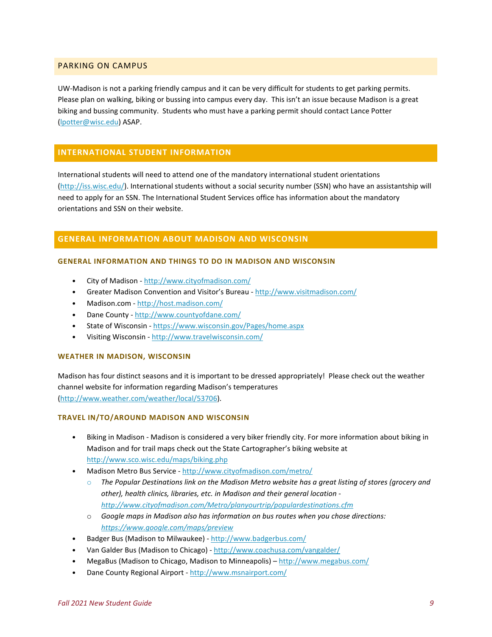# <span id="page-8-0"></span>PARKING ON CAMPUS

UW-Madison is not a parking friendly campus and it can be very difficult for students to get parking permits. Please plan on walking, biking or bussing into campus every day. This isn't an issue because Madison is a great biking and bussing community. Students who must have a parking permit should contact Lance Potter [\(lpotter@wisc.edu\)](mailto:lpotter@wisc.edu) ASAP.

# <span id="page-8-1"></span>**INTERNATIONAL STUDENT INFORMATION**

International students will need to attend one of the mandatory international student orientations [\(http://iss.wisc.edu/\)](http://iss.wisc.edu/). International students without a social security number (SSN) who have an assistantship will need to apply for an SSN. The International Student Services office has information about the mandatory orientations and SSN on their website.

# <span id="page-8-2"></span>**GENERAL INFORMATION ABOUT MADISON AND WISCONSIN**

#### **GENERAL INFORMATION AND THINGS TO DO IN MADISON AND WISCONSIN**

- City of Madison <http://www.cityofmadison.com/>
- Greater Madison Convention and Visitor's Bureau <http://www.visitmadison.com/>
- Madison.com <http://host.madison.com/>
- Dane County <http://www.countyofdane.com/>
- State of Wisconsin <https://www.wisconsin.gov/Pages/home.aspx>
- Visiting Wisconsin <http://www.travelwisconsin.com/>

#### **WEATHER IN MADISON, WISCONSIN**

Madison has four distinct seasons and it is important to be dressed appropriately! Please check out the weather channel website for information regarding Madison's temperatures [\(http://www.weather.com/weather/local/53706\)](http://www.weather.com/weather/local/53706).

#### **TRAVEL IN/TO/AROUND MADISON AND WISCONSIN**

- Biking in Madison Madison is considered a very biker friendly city. For more information about biking in Madison and for trail maps check out the State Cartographer's biking website at <http://www.sco.wisc.edu/maps/biking.php>
- Madison Metro Bus Service <http://www.cityofmadison.com/metro/>
	- o *The Popular Destinations link on the Madison Metro website has a great listing of stores (grocery and other), health clinics, libraries, etc. in Madison and their general location <http://www.cityofmadison.com/Metro/planyourtrip/populardestinations.cfm>*
	- o *Google maps in Madison also has information on bus routes when you chose directions: <https://www.google.com/maps/preview>*
- Badger Bus (Madison to Milwaukee) <http://www.badgerbus.com/>
- Van Galder Bus (Madison to Chicago) <http://www.coachusa.com/vangalder/>
- MegaBus (Madison to Chicago, Madison to Minneapolis) <http://www.megabus.com/>
- Dane County Regional Airport <http://www.msnairport.com/>